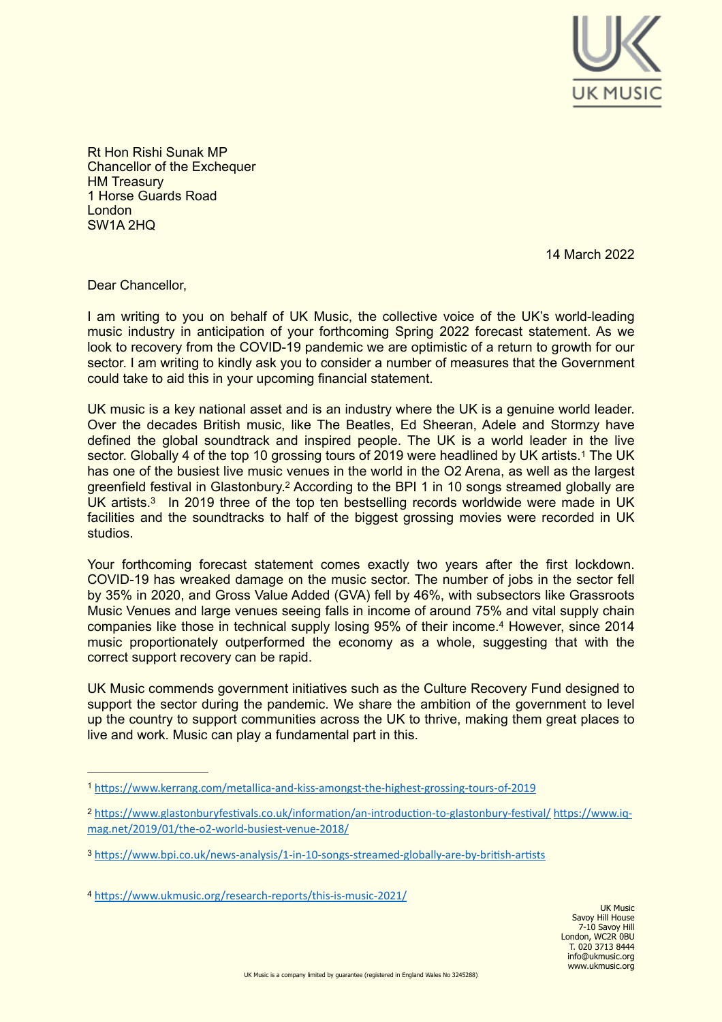

Rt Hon Rishi Sunak MP Chancellor of the Exchequer **HM Treasury** 1 Horse Guards Road London SW1A 2HQ

<span id="page-0-7"></span><span id="page-0-4"></span>14 March 2022

Dear Chancellor,

I am writing to you on behalf of UK Music, the collective voice of the UK's world-leading music industry in anticipation of your forthcoming Spring 2022 forecast statement. As we look to recovery from the COVID-19 pandemic we are optimistic of a return to growth for our sector. I am writing to kindly ask you to consider a number of measures that the Government could take to aid this in your upcoming financial statement.

UK music is a key national asset and is an industry where the UK is a genuine world leader. Over the decades British music, like The Beatles, Ed Sheeran, Adele and Stormzy have defined the global soundtrack and inspired people. The UK is a world leader in the live sector.Globally 4 of the top [1](#page-0-0)0 grossing tours of 2019 were headlined by UK artists.<sup>1</sup> The UK has one of the busiest live music venues in the world in the O2 Arena, as well as the largest greenfield festival in Glastonbury[.](#page-0-1)<sup>[2](#page-0-1)</sup> According to the BPI 1 in 10 songs streamed globally are UK artists[.](#page-0-2)<sup>[3](#page-0-2)</sup> In 2019 three of the top ten bestselling records worldwide were made in UK facilities and the soundtracks to half of the biggest grossing movies were recorded in UK studios.

<span id="page-0-6"></span><span id="page-0-5"></span>Your forthcoming forecast statement comes exactly two years after the first lockdown. COVID-19 has wreaked damage on the music sector. The number of jobs in the sector fell by 35% in 2020, and Gross Value Added (GVA) fell by 46%, with subsectors like Grassroots Music Venues and large venues seeing falls in income of around 75% and vital supply chain companies like those in technical supply losing 95% of their income[.](#page-0-3)<sup>[4](#page-0-3)</sup> However, since 2014 music proportionately outperformed the economy as a whole, suggesting that with the correct support recovery can be rapid.

UK Music commends government initiatives such as the Culture Recovery Fund designed to support the sector during the pandemic. We share the ambition of the government to level up the country to support communities across the UK to thrive, making them great places to live and work. Music can play a fundamental part in this.

<span id="page-0-0"></span>[<sup>1</sup>](#page-0-4) <https://www.kerrang.com/metallica-and-kiss-amongst-the-highest-grossing-tours-of-2019>

<span id="page-0-1"></span><https://www.glastonburyfestivals.co.uk/information/an-introduction-to-glastonbury-festival/> [https://www.iq-](https://www.iq-mag.net/2019/01/the-o2-world-busiest-venue-2018/) [2](#page-0-5) [mag.net/2019/01/the-o2-world-busiest-venue-2018/](https://www.iq-mag.net/2019/01/the-o2-world-busiest-venue-2018/)

<span id="page-0-2"></span><https://www.bpi.co.uk/news-analysis/1-in-10-songs-streamed-globally-are-by-british-artists> [3](#page-0-6)

<span id="page-0-3"></span><https://www.ukmusic.org/research-reports/this-is-music-2021/> [4](#page-0-7)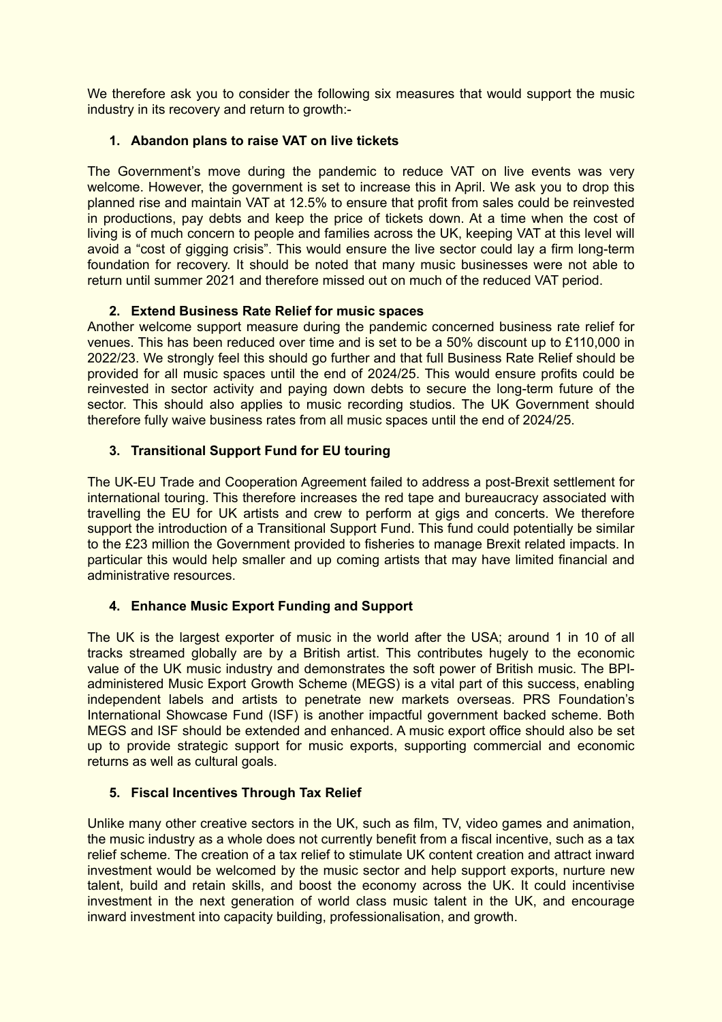We therefore ask you to consider the following six measures that would support the music industry in its recovery and return to growth:-

## **1. Abandon plans to raise VAT on live tickets**

The Government's move during the pandemic to reduce VAT on live events was very welcome. However, the government is set to increase this in April. We ask you to drop this planned rise and maintain VAT at 12.5% to ensure that profit from sales could be reinvested in productions, pay debts and keep the price of tickets down. At a time when the cost of living is of much concern to people and families across the UK, keeping VAT at this level will avoid a "cost of gigging crisis". This would ensure the live sector could lay a firm long-term foundation for recovery. It should be noted that many music businesses were not able to return until summer 2021 and therefore missed out on much of the reduced VAT period.

## **2. Extend Business Rate Relief for music spaces**

Another welcome support measure during the pandemic concerned business rate relief for venues. This has been reduced over time and is set to be a 50% discount up to £110,000 in 2022/23. We strongly feel this should go further and that full Business Rate Relief should be provided for all music spaces until the end of 2024/25. This would ensure profits could be reinvested in sector activity and paying down debts to secure the long-term future of the sector. This should also applies to music recording studios. The UK Government should therefore fully waive business rates from all music spaces until the end of 2024/25.

# **3. Transitional Support Fund for EU touring**

The UK-EU Trade and Cooperation Agreement failed to address a post-Brexit settlement for international touring. This therefore increases the red tape and bureaucracy associated with travelling the EU for UK artists and crew to perform at gigs and concerts. We therefore support the introduction of a Transitional Support Fund. This fund could potentially be similar to the £23 million the Government provided to fisheries to manage Brexit related impacts. In particular this would help smaller and up coming artists that may have limited financial and administrative resources.

# **4. Enhance Music Export Funding and Support**

The UK is the largest exporter of music in the world after the USA; around 1 in 10 of all tracks streamed globally are by a British artist. This contributes hugely to the economic value of the UK music industry and demonstrates the soft power of British music. The BPIadministered Music Export Growth Scheme (MEGS) is a vital part of this success, enabling independent labels and artists to penetrate new markets overseas. PRS Foundation's International Showcase Fund (ISF) is another impactful government backed scheme. Both MEGS and ISF should be extended and enhanced. A music export office should also be set up to provide strategic support for music exports, supporting commercial and economic returns as well as cultural goals.

#### **5. Fiscal Incentives Through Tax Relief**

Unlike many other creative sectors in the UK, such as film, TV, video games and animation, the music industry as a whole does not currently benefit from a fiscal incentive, such as a tax relief scheme. The creation of a tax relief to stimulate UK content creation and attract inward investment would be welcomed by the music sector and help support exports, nurture new talent, build and retain skills, and boost the economy across the UK. It could incentivise investment in the next generation of world class music talent in the UK, and encourage inward investment into capacity building, professionalisation, and growth.